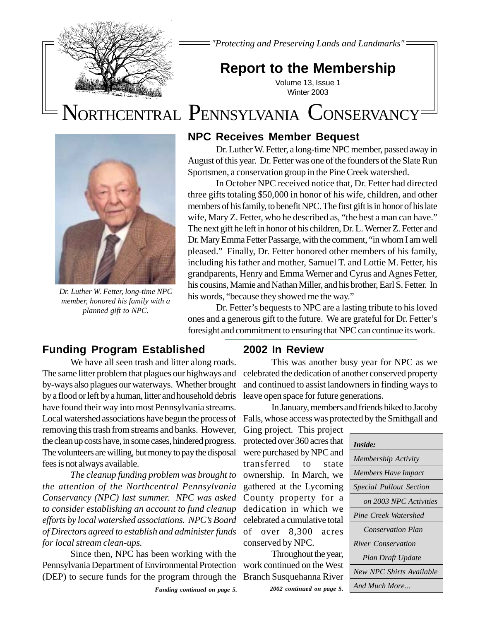

*"Protecting and Preserving Lands and Landmarks"*

# **Report to the Membership**

Volume 13, Issue 1 Winter 2003

# NORTHCENTRAL PENNSYLVANIA CONSERVANCY



*Dr. Luther W. Fetter, long-time NPC member, honored his family with a planned gift to NPC.*

### **NPC Receives Member Bequest**

Dr. Luther W. Fetter, a long-time NPC member, passed away in August of this year. Dr. Fetter was one of the founders of the Slate Run Sportsmen, a conservation group in the Pine Creek watershed.

In October NPC received notice that, Dr. Fetter had directed three gifts totaling \$50,000 in honor of his wife, children, and other members of his family, to benefit NPC. The first gift is in honor of his late wife, Mary Z. Fetter, who he described as, "the best a man can have." The next gift he left in honor of his children, Dr. L. Werner Z. Fetter and Dr. Mary Emma Fetter Passarge, with the comment, "in whom I am well pleased." Finally, Dr. Fetter honored other members of his family, including his father and mother, Samuel T. and Lottie M. Fetter, his grandparents, Henry and Emma Werner and Cyrus and Agnes Fetter, his cousins, Mamie and Nathan Miller, and his brother, Earl S. Fetter. In his words, "because they showed me the way."

Dr. Fetter's bequests to NPC are a lasting tribute to his loved ones and a generous gift to the future. We are grateful for Dr. Fetter's foresight and commitment to ensuring that NPC can continue its work.

### **Funding Program Established**

We have all seen trash and litter along roads. The same litter problem that plagues our highways and by-ways also plagues our waterways. Whether brought by a flood or left by a human, litter and household debris have found their way into most Pennsylvania streams. removing this trash from streams and banks. However, the clean up costs have, in some cases, hindered progress. The volunteers are willing, but money to pay the disposal fees is not always available.

*The cleanup funding problem was brought to the attention of the Northcentral Pennsylvania Conservancy (NPC) last summer. NPC was asked to consider establishing an account to fund cleanup efforts by local watershed associations. NPC's Board of Directors agreed to establish and administer funds for local stream clean-ups.*

Since then, NPC has been working with the Pennsylvania Department of Environmental Protection (DEP) to secure funds for the program through the

### **2002 In Review**

This was another busy year for NPC as we celebrated the dedication of another conserved property and continued to assist landowners in finding ways to leave open space for future generations.

Local watershed associations have begun the process of Falls, whose access was protected by the Smithgall and In January, members and friends hiked to Jacoby

> Ging project. This project protected over 360 acres that were purchased by NPC and transferred to state ownership. In March, we gathered at the Lycoming County property for a dedication in which we celebrated a cumulative total of over 8,300 acres conserved by NPC.

> Throughout the year, work continued on the West Branch Susquehanna River

*Inside: Membership Activity Members Have Impact Special Pullout Section on 2003 NPC Activities Pine Creek Watershed Conservation Plan River Conservation Plan Draft Update New NPC Shirts Available And Much More...*

*Funding continued on page 5. 2002 continued on page 5.*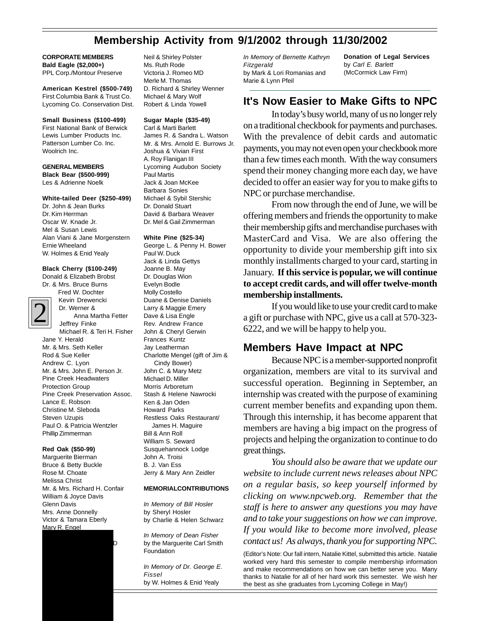## **Membership Activity from 9/1/2002 through 11/30/2002**

### **CORPORATE MEMBERS Bald Eagle (\$2,000+)**

PPL Corp./Montour Preserve

**American Kestrel (\$500-749)** First Columbia Bank & Trust Co. Lycoming Co. Conservation Dist.

### **Small Business (\$100-499)**

First National Bank of Berwick Lewis Lumber Products Inc. Patterson Lumber Co. Inc. Woolrich Inc.

### **GENERAL MEMBERS Black Bear (\$500-999)** Les & Adrienne Noelk

### **White-tailed Deer (\$250-499)**

Dr. John & Jean Burks Dr. Kim Herrman Oscar W. Knade Jr. Mel & Susan Lewis Alan Viani & Jane Morgenstern Ernie Wheeland W. Holmes & Enid Yealy

### **Black Cherry (\$100-249)**

Donald & Elizabeth Brobst Dr. & Mrs. Bruce Burns

Fred W. Dochter



Kevin Drewencki Dr. Werner & Anna Martha Fetter Jeffrey Finke Michael R. & Teri H. Fisher Jane Y. Herald Mr. & Mrs. Seth Keller Rod & Sue Keller Andrew C. Lyon Mr. & Mrs. John E. Person Jr. Pine Creek Headwaters Protection Group Pine Creek Preservation Assoc. Lance E. Robson Christine M. Sleboda Steven Uzupis Paul O. & Patricia Wentzler Phillip Zimmerman

### **Red Oak (\$50-99)**

Marguerite Bierman Bruce & Betty Buckle Rose M. Choate Melissa Christ Mr. & Mrs. Richard H. Confair William & Joyce Davis Glenn Davis Mrs. Anne Donnelly Victor & Tamara Eberly Mary R. Engel

Theodore S. Larson Jr. March Jr. March Jr. March Jr. March Jr. March Jr. March J

Neil & Shirley Polster Ms. Ruth Rode Victoria J. Romeo MD Merle M. Thomas D. Richard & Shirley Wenner Michael & Mary Wolf Robert & Linda Yowell

### **Sugar Maple (\$35-49)**

Carl & Marti Barlett James R. & Sandra L. Watson Mr. & Mrs. Arnold E. Burrows Jr. Joshua & Vivian First A. Roy Flanigan III Lycoming Audubon Society Paul Martis Jack & Joan McKee Barbara Sonies Michael & Sybil Stershic Dr. Donald Stuart David & Barbara Weaver Dr. Mel & Gail Zimmerman

### **White Pine (\$25-34)**

George L. & Penny H. Bower Paul W. Duck Jack & Linda Gettys Joanne B. May Dr. Douglas Wion Evelyn Bodle Molly Costello Duane & Denise Daniels Larry & Maggie Emery Dave & Lisa Engle Rev. Andrew France John & Cheryl Gerwin Frances Kuntz Jay Leatherman Charlotte Mengel (gift of Jim & Cindy Bower) John C. & Mary Metz Michael D. Miller Morris Arboretum Stash & Helene Nawrocki Ken & Jan Oden Howard Parks Restless Oaks Restaurant/ James H. Maguire Bill & Ann Roll William S. Seward Susquehannock Lodge John A. Troisi B. J. Van Ess Jerry & Mary Ann Zeidler

### **MEMORIALCONTRIBUTIONS**

*In Memory of Bill Hosler* by Sheryl Hosler by Charlie & Helen Schwarz

*In Memory of Dean Fisher* by the Marguerite Carl Smith Foundation

*In Memory of Dr. George E. Fissel* by W. Holmes & Enid Yealy

*In Memory of Bernette Kathryn Fitzgerald* by Mark & Lori Romanias and Marie & Lynn Pfeil

**Donation of Legal Services** by *Carl E. Barlett* (McCormick Law Firm)

### **It's Now Easier to Make Gifts to NPC**

In today's busy world, many of us no longer rely on a traditional checkbook for payments and purchases. With the prevalence of debit cards and automatic payments, you may not even open your checkbook more than a few times each month. With the way consumers spend their money changing more each day, we have decided to offer an easier way for you to make gifts to NPC or purchase merchandise.

From now through the end of June, we will be offering members and friends the opportunity to make their membership gifts and merchandise purchases with MasterCard and Visa. We are also offering the opportunity to divide your membership gift into six monthly installments charged to your card, starting in January. **If this service is popular, we will continue to accept credit cards, and will offer twelve-month membership installments.**

If you would like to use your credit card to make a gift or purchase with NPC, give us a call at 570-323- 6222, and we will be happy to help you.

### **Members Have Impact at NPC**

Because NPC is a member-supported nonprofit organization, members are vital to its survival and successful operation. Beginning in September, an internship was created with the purpose of examining current member benefits and expanding upon them. Through this internship, it has become apparent that members are having a big impact on the progress of projects and helping the organization to continue to do great things.

*You should also be aware that we update our website to include current news releases about NPC on a regular basis, so keep yourself informed by clicking on www.npcweb.org. Remember that the staff is here to answer any questions you may have and to take your suggestions on how we can improve. If you would like to become more involved, please contact us! As always, thank you for supporting NPC.*

(Editor's Note: Our fall intern, Natalie Kittel, submitted this article. Natalie worked very hard this semester to compile membership information and make recommendations on how we can better serve you. Many thanks to Natalie for all of her hard work this semester. We wish her the best as she graduates from Lycoming College in May!)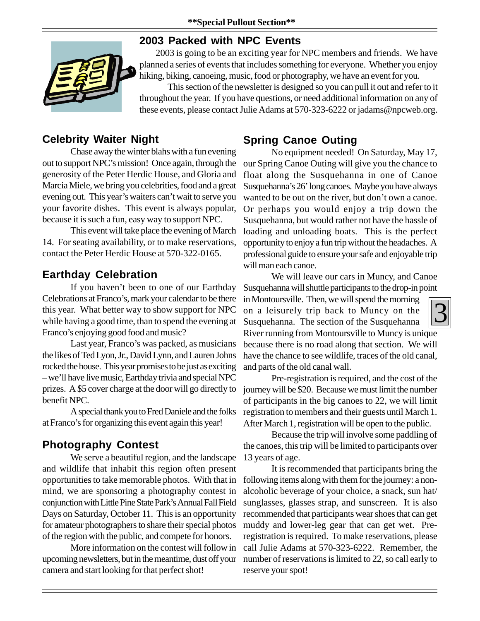## **2003 Packed with NPC Events**



2003 is going to be an exciting year for NPC members and friends. We have planned a series of events that includes something for everyone. Whether you enjoy hiking, biking, canoeing, music, food or photography, we have an event for you.

This section of the newsletter is designed so you can pull it out and refer to it throughout the year. If you have questions, or need additional information on any of these events, please contact Julie Adams at 570-323-6222 or jadams@npcweb.org.

## **Celebrity Waiter Night**

Chase away the winter blahs with a fun evening out to support NPC's mission! Once again, through the generosity of the Peter Herdic House, and Gloria and Marcia Miele, we bring you celebrities, food and a great evening out. This year's waiters can't wait to serve you your favorite dishes. This event is always popular, because it is such a fun, easy way to support NPC.

This event will take place the evening of March 14. For seating availability, or to make reservations, contact the Peter Herdic House at 570-322-0165.

## **Earthday Celebration**

If you haven't been to one of our Earthday Celebrations at Franco's, mark your calendar to be there this year. What better way to show support for NPC while having a good time, than to spend the evening at Franco's enjoying good food and music?

Last year, Franco's was packed, as musicians the likes of Ted Lyon, Jr., David Lynn, and Lauren Johns rocked the house. This year promises to be just as exciting – we'll have live music, Earthday trivia and special NPC prizes. A \$5 cover charge at the door will go directly to benefit NPC.

A special thank you to Fred Daniele and the folks at Franco's for organizing this event again this year!

## **Photography Contest**

We serve a beautiful region, and the landscape and wildlife that inhabit this region often present opportunities to take memorable photos. With that in mind, we are sponsoring a photography contest in conjunction with Little Pine State Park's Annual Fall Field Days on Saturday, October 11. This is an opportunity for amateur photographers to share their special photos of the region with the public, and compete for honors.

More information on the contest will follow in upcoming newsletters, but in the meantime, dust off your camera and start looking for that perfect shot!

## **Spring Canoe Outing**

No equipment needed! On Saturday, May 17, our Spring Canoe Outing will give you the chance to float along the Susquehanna in one of Canoe Susquehanna's 26' long canoes. Maybe you have always wanted to be out on the river, but don't own a canoe. Or perhaps you would enjoy a trip down the Susquehanna, but would rather not have the hassle of loading and unloading boats. This is the perfect opportunity to enjoy a fun trip without the headaches. A professional guide to ensure your safe and enjoyable trip will man each canoe.

We will leave our cars in Muncy, and Canoe Susquehanna will shuttle participants to the drop-in point

3 in Montoursville. Then, we will spend the morning on a leisurely trip back to Muncy on the Susquehanna. The section of the Susquehanna River running from Montoursville to Muncy is unique because there is no road along that section. We will have the chance to see wildlife, traces of the old canal, and parts of the old canal wall.

Pre-registration is required, and the cost of the journey will be \$20. Because we must limit the number of participants in the big canoes to 22, we will limit registration to members and their guests until March 1. After March 1, registration will be open to the public.

Because the trip will involve some paddling of the canoes, this trip will be limited to participants over 13 years of age.

It is recommended that participants bring the following items along with them for the journey: a nonalcoholic beverage of your choice, a snack, sun hat/ sunglasses, glasses strap, and sunscreen. It is also recommended that participants wear shoes that can get muddy and lower-leg gear that can get wet. Preregistration is required. To make reservations, please call Julie Adams at 570-323-6222. Remember, the number of reservations is limited to 22, so call early to reserve your spot!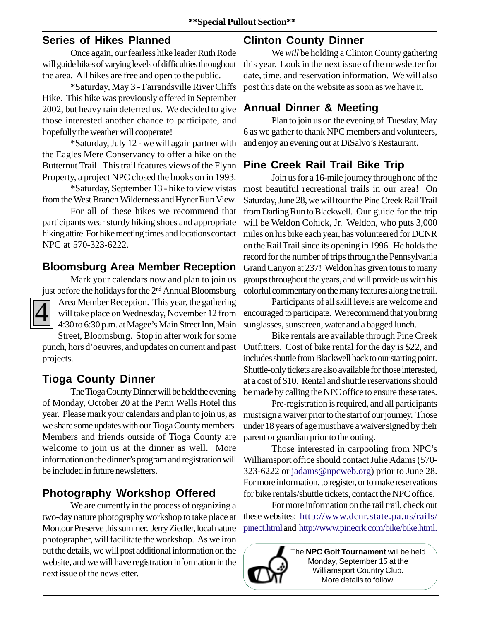### **Series of Hikes Planned**

Once again, our fearless hike leader Ruth Rode will guide hikes of varying levels of difficulties throughout the area. All hikes are free and open to the public.

\*Saturday, May 3 - Farrandsville River Cliffs Hike. This hike was previously offered in September 2002, but heavy rain deterred us. We decided to give those interested another chance to participate, and hopefully the weather will cooperate!

\*Saturday, July 12 - we will again partner with the Eagles Mere Conservancy to offer a hike on the Butternut Trail. This trail features views of the Flynn Property, a project NPC closed the books on in 1993.

\*Saturday, September 13 - hike to view vistas from the West Branch Wilderness and Hyner Run View.

For all of these hikes we recommend that participants wear sturdy hiking shoes and appropriate hiking attire. For hike meeting times and locations contact NPC at 570-323-6222.

## **Bloomsburg Area Member Reception**

# Mark your calendars now and plan to join us



just before the holidays for the 2nd Annual Bloomsburg Area Member Reception. This year, the gathering will take place on Wednesday, November 12 from 4:30 to 6:30 p.m. at Magee's Main Street Inn, Main Street, Bloomsburg. Stop in after work for some

punch, hors d'oeuvres, and updates on current and past projects.

## **Tioga County Dinner**

The Tioga County Dinner will be held the evening of Monday, October 20 at the Penn Wells Hotel this year. Please mark your calendars and plan to join us, as we share some updates with our Tioga County members. Members and friends outside of Tioga County are welcome to join us at the dinner as well. More information on the dinner's program and registration will be included in future newsletters.

## **Photography Workshop Offered**

We are currently in the process of organizing a two-day nature photography workshop to take place at Montour Preserve this summer. Jerry Ziedler, local nature photographer, will facilitate the workshop. As we iron out the details, we will post additional information on the website, and we will have registration information in the next issue of the newsletter.

## **Clinton County Dinner**

We *will* be holding a Clinton County gathering this year. Look in the next issue of the newsletter for date, time, and reservation information. We will also post this date on the website as soon as we have it.

## **Annual Dinner & Meeting**

Plan to join us on the evening of Tuesday, May 6 as we gather to thank NPC members and volunteers, and enjoy an evening out at DiSalvo's Restaurant.

## **Pine Creek Rail Trail Bike Trip**

Join us for a 16-mile journey through one of the most beautiful recreational trails in our area! On Saturday, June 28, we will tour the Pine Creek Rail Trail from Darling Run to Blackwell. Our guide for the trip will be Weldon Cohick, Jr. Weldon, who puts 3,000 miles on his bike each year, has volunteered for DCNR on the Rail Trail since its opening in 1996. He holds the record for the number of trips through the Pennsylvania Grand Canyon at 237! Weldon has given tours to many groups throughout the years, and will provide us with his colorful commentary on the many features along the trail.

Participants of all skill levels are welcome and encouraged to participate. We recommend that you bring sunglasses, sunscreen, water and a bagged lunch.

Bike rentals are available through Pine Creek Outfitters. Cost of bike rental for the day is \$22, and includes shuttle from Blackwell back to our starting point. Shuttle-only tickets are also available for those interested, at a cost of \$10. Rental and shuttle reservations should be made by calling the NPC office to ensure these rates.

Pre-registration is required, and all participants must sign a waiver prior to the start of our journey. Those under 18 years of age must have a waiver signed by their parent or guardian prior to the outing.

Those interested in carpooling from NPC's Williamsport office should contact Julie Adams (570- 323-6222 or jadams@npcweb.org) prior to June 28. For more information, to register, or to make reservations for bike rentals/shuttle tickets, contact the NPC office.

For more information on the rail trail, check out these websites: http://www.dcnr.state.pa.us/rails/ pinect.html and http://www.pinecrk.com/bike/bike.html.



The **NPC Golf Tournament** will be held Monday, September 15 at the Williamsport Country Club. More details to follow.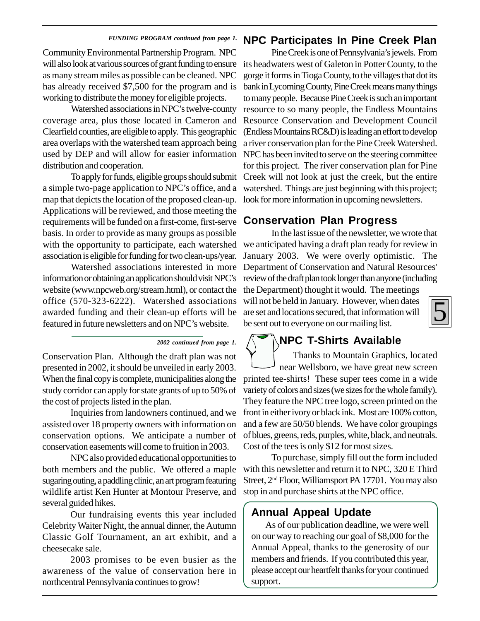### *FUNDING PROGRAM continued from page 1.*

Community Environmental Partnership Program. NPC will also look at various sources of grant funding to ensure its headwaters west of Galeton in Potter County, to the as many stream miles as possible can be cleaned. NPC has already received \$7,500 for the program and is working to distribute the money for eligible projects.

Watershed associations in NPC's twelve-county coverage area, plus those located in Cameron and Clearfield counties, are eligible to apply. This geographic area overlaps with the watershed team approach being used by DEP and will allow for easier information NPC has been invited to serve on the steering committee distribution and cooperation.

a simple two-page application to NPC's office, and a map that depicts the location of the proposed clean-up. Applications will be reviewed, and those meeting the requirements will be funded on a first-come, first-serve basis. In order to provide as many groups as possible with the opportunity to participate, each watershed association is eligible for funding for two clean-ups/year.

Watershed associations interested in more information or obtaining an application should visit NPC's website (www.npcweb.org/stream.html), or contact the office (570-323-6222). Watershed associations awarded funding and their clean-up efforts will be are set and locations secured, that information will featured in future newsletters and on NPC's website.

Conservation Plan. Although the draft plan was not presented in 2002, it should be unveiled in early 2003. When the final copy is complete, municipalities along the study corridor can apply for state grants of up to 50% of the cost of projects listed in the plan.

Inquiries from landowners continued, and we assisted over 18 property owners with information on conservation options. We anticipate a number of conservation easements will come to fruition in 2003.

NPC also provided educational opportunities to both members and the public. We offered a maple sugaring outing, a paddling clinic, an art program featuring wildlife artist Ken Hunter at Montour Preserve, and several guided hikes.

Our fundraising events this year included Celebrity Waiter Night, the annual dinner, the Autumn Classic Golf Tournament, an art exhibit, and a cheesecake sale.

2003 promises to be even busier as the awareness of the value of conservation here in northcentral Pennsylvania continues to grow!

### **NPC Participates In Pine Creek Plan**

To apply for funds, eligible groups should submit Creek will not look at just the creek, but the entire Pine Creek is one of Pennsylvania's jewels. From gorge it forms in Tioga County, to the villages that dot its bank in Lycoming County, Pine Creek means many things to many people. Because Pine Creek is such an important resource to so many people, the Endless Mountains Resource Conservation and Development Council (Endless Mountains RC&D) is leading an effort to develop a river conservation plan for the Pine Creek Watershed. for this project. The river conservation plan for Pine watershed. Things are just beginning with this project; look for more information in upcoming newsletters.

### **Conservation Plan Progress**

In the last issue of the newsletter, we wrote that we anticipated having a draft plan ready for review in January 2003. We were overly optimistic. The Department of Conservation and Natural Resources' review of the draft plan took longer than anyone (including the Department) thought it would. The meetings will not be held in January. However, when dates

be sent out to everyone on our mailing list.



### **NPC T-Shirts Available**

 Thanks to Mountain Graphics, located near Wellsboro, we have great new screen printed tee-shirts! These super tees come in a wide variety of colors and sizes (we sizes for the whole family). They feature the NPC tree logo, screen printed on the front in either ivory or black ink. Most are 100% cotton, and a few are 50/50 blends. We have color groupings of blues, greens, reds, purples, white, black, and neutrals. Cost of the tees is only \$12 for most sizes.

To purchase, simply fill out the form included with this newsletter and return it to NPC, 320 E Third Street, 2<sup>nd</sup> Floor, Williamsport PA 17701. You may also stop in and purchase shirts at the NPC office.

### **Annual Appeal Update**

As of our publication deadline, we were well on our way to reaching our goal of \$8,000 for the Annual Appeal, thanks to the generosity of our members and friends. If you contributed this year, please accept our heartfelt thanks for your continued support.

*<sup>2002</sup> continued from page 1.*